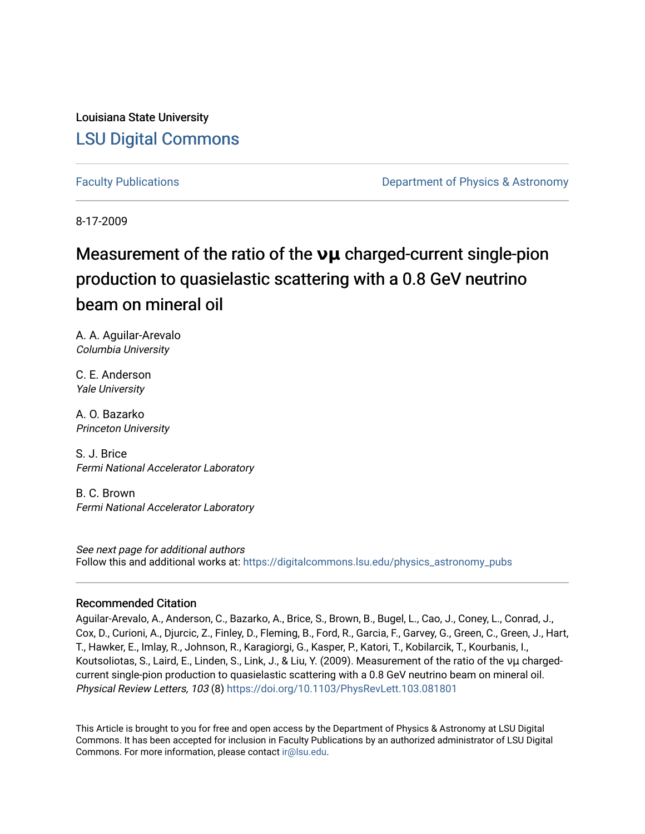Louisiana State University [LSU Digital Commons](https://digitalcommons.lsu.edu/)

[Faculty Publications](https://digitalcommons.lsu.edu/physics_astronomy_pubs) **Example 2** Constant Department of Physics & Astronomy

8-17-2009

# Measurement of the ratio of the **νμ** charged-current single-pion production to quasielastic scattering with a 0.8 GeV neutrino beam on mineral oil

A. A. Aguilar-Arevalo Columbia University

C. E. Anderson Yale University

A. O. Bazarko Princeton University

S. J. Brice Fermi National Accelerator Laboratory

B. C. Brown Fermi National Accelerator Laboratory

See next page for additional authors Follow this and additional works at: [https://digitalcommons.lsu.edu/physics\\_astronomy\\_pubs](https://digitalcommons.lsu.edu/physics_astronomy_pubs?utm_source=digitalcommons.lsu.edu%2Fphysics_astronomy_pubs%2F3425&utm_medium=PDF&utm_campaign=PDFCoverPages) 

### Recommended Citation

Aguilar-Arevalo, A., Anderson, C., Bazarko, A., Brice, S., Brown, B., Bugel, L., Cao, J., Coney, L., Conrad, J., Cox, D., Curioni, A., Djurcic, Z., Finley, D., Fleming, B., Ford, R., Garcia, F., Garvey, G., Green, C., Green, J., Hart, T., Hawker, E., Imlay, R., Johnson, R., Karagiorgi, G., Kasper, P., Katori, T., Kobilarcik, T., Kourbanis, I., Koutsoliotas, S., Laird, E., Linden, S., Link, J., & Liu, Y. (2009). Measurement of the ratio of the νμ chargedcurrent single-pion production to quasielastic scattering with a 0.8 GeV neutrino beam on mineral oil. Physical Review Letters, 103 (8)<https://doi.org/10.1103/PhysRevLett.103.081801>

This Article is brought to you for free and open access by the Department of Physics & Astronomy at LSU Digital Commons. It has been accepted for inclusion in Faculty Publications by an authorized administrator of LSU Digital Commons. For more information, please contact [ir@lsu.edu](mailto:ir@lsu.edu).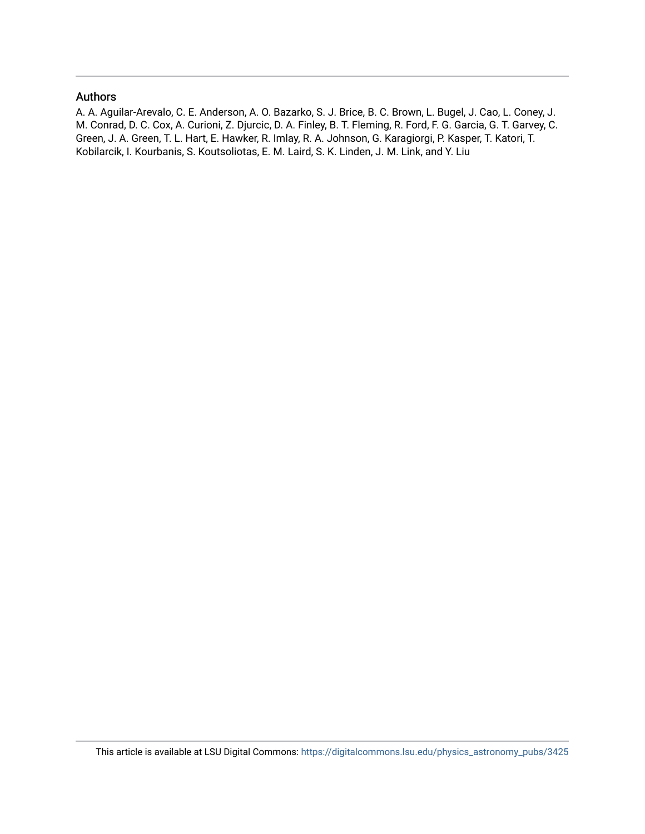#### Authors

A. A. Aguilar-Arevalo, C. E. Anderson, A. O. Bazarko, S. J. Brice, B. C. Brown, L. Bugel, J. Cao, L. Coney, J. M. Conrad, D. C. Cox, A. Curioni, Z. Djurcic, D. A. Finley, B. T. Fleming, R. Ford, F. G. Garcia, G. T. Garvey, C. Green, J. A. Green, T. L. Hart, E. Hawker, R. Imlay, R. A. Johnson, G. Karagiorgi, P. Kasper, T. Katori, T. Kobilarcik, I. Kourbanis, S. Koutsoliotas, E. M. Laird, S. K. Linden, J. M. Link, and Y. Liu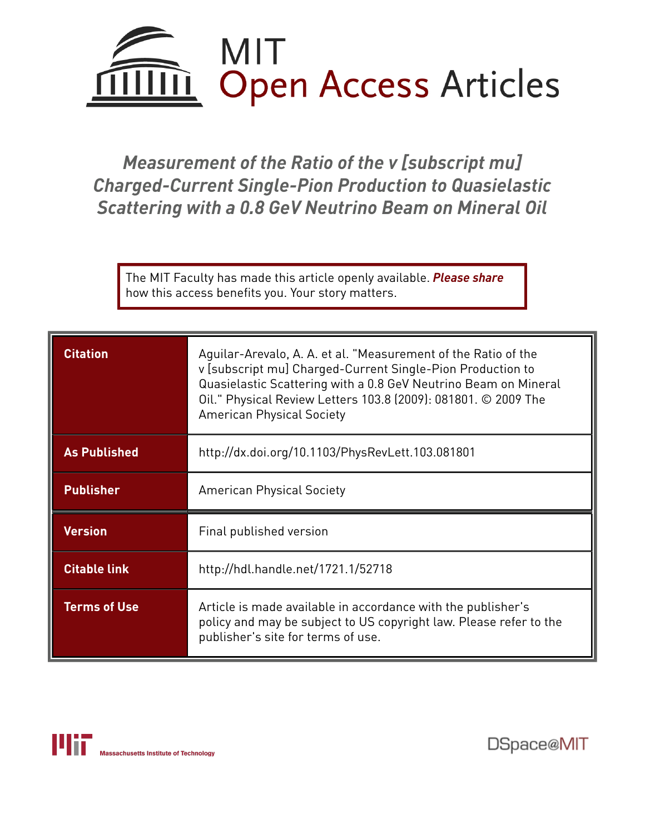# MIT IIII. **Open Access Articles**

*Measurement of the Ratio of the v [subscript mu] Charged-Current Single-Pion Production to Quasielastic Scattering with a 0.8 GeV Neutrino Beam on Mineral Oil*

The MIT Faculty has made this article openly available. *[Please](https://libraries.mit.edu/forms/dspace-oa-articles.html) share* how this access benefits you. Your story matters.

| <b>Citation</b>     | Aguilar-Arevalo, A. A. et al. "Measurement of the Ratio of the<br>v [subscript mu] Charged-Current Single-Pion Production to<br>Quasielastic Scattering with a 0.8 GeV Neutrino Beam on Mineral<br>Oil." Physical Review Letters 103.8 (2009): 081801. © 2009 The<br><b>American Physical Society</b> |
|---------------------|-------------------------------------------------------------------------------------------------------------------------------------------------------------------------------------------------------------------------------------------------------------------------------------------------------|
| <b>As Published</b> | http://dx.doi.org/10.1103/PhysRevLett.103.081801                                                                                                                                                                                                                                                      |
| <b>Publisher</b>    | <b>American Physical Society</b>                                                                                                                                                                                                                                                                      |
| <b>Version</b>      | Final published version                                                                                                                                                                                                                                                                               |
| <b>Citable link</b> | http://hdl.handle.net/1721.1/52718                                                                                                                                                                                                                                                                    |
| <b>Terms of Use</b> | Article is made available in accordance with the publisher's<br>policy and may be subject to US copyright law. Please refer to the<br>publisher's site for terms of use.                                                                                                                              |



DSpace@MIT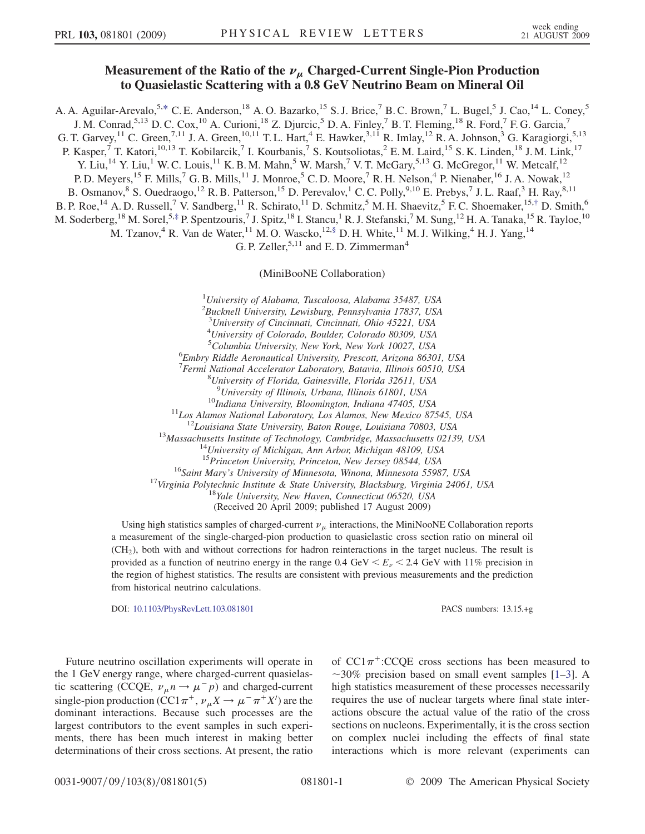## Measurement of the Ratio of the  $\nu_{\mu}$  Charged-Current Single-Pion Production to Quasielastic Scattering with a 0.8 GeV Neutrino Beam on Mineral Oil

<span id="page-3-0"></span>A. A. Aguilar-Arevalo,<sup>5,[\\*](#page-7-0)</sup> C. E. Anderson,<sup>18</sup> A. O. Bazarko,<sup>15</sup> S. J. Brice,<sup>7</sup> B. C. Brown,<sup>7</sup> L. Bugel,<sup>5</sup> J. Cao,<sup>14</sup> L. Coney,<sup>5</sup>

J. M. Conrad,<sup>5,13</sup> D. C. Cox,<sup>10</sup> A. Curioni,<sup>18</sup> Z. Djurcic,<sup>5</sup> D. A. Finley,<sup>7</sup> B. T. Fleming,<sup>18</sup> R. Ford,<sup>7</sup> F. G. Garcia,<sup>7</sup>

G. T. Garvey,  $^{11}$  C. Green,  $^{7,11}$  J. A. Green,  $^{10,11}$  T. L. Hart,  $^{4}$  E. Hawker,  $^{3,11}$  R. Imlay,  $^{12}$  R. A. Johnson,  $^{3}$  G. Karagiorgi,  $^{5,13}$ 

P. Kasper,<sup>7</sup> T. Katori,<sup>10,13</sup> T. Kobilarcik,<sup>7</sup> I. Kourbanis,<sup>7</sup> S. Koutsoliotas,<sup>2</sup> E.M. Laird,<sup>15</sup> S.K. Linden,<sup>18</sup> J.M. Link,<sup>17</sup>

Y. Liu,<sup>14</sup> Y. Liu,<sup>1</sup> W. C. Louis,<sup>11</sup> K. B. M. Mahn,<sup>5</sup> W. Marsh,<sup>7</sup> V. T. McGary,<sup>5,13</sup> G. McGregor,<sup>11</sup> W. Metcalf,<sup>12</sup>

P. D. Meyers,<sup>15</sup> F. Mills,<sup>7</sup> G. B. Mills,<sup>11</sup> J. Monroe,<sup>5</sup> C. D. Moore,<sup>7</sup> R. H. Nelson,<sup>4</sup> P. Nienaber,<sup>16</sup> J. A. Nowak,<sup>12</sup>

B. Osmanov, <sup>8</sup> S. Ouedraogo, <sup>12</sup> R. B. Patterson, <sup>15</sup> D. Perevalov, <sup>1</sup> C. C. Polly, <sup>9,10</sup> E. Prebys, <sup>7</sup> J. L. Raaf, <sup>3</sup> H. Ray, <sup>8,11</sup>

<span id="page-3-1"></span>B. P. Roe, <sup>14</sup> A. D. Russell,<sup>7</sup> V. Sandberg, <sup>11</sup> R. Schirato, <sup>11</sup> D. Schmitz, <sup>5</sup> M. H. Shaevitz, <sup>5</sup> F. C. Shoemaker, <sup>15[,†](#page-7-1)</sup> D. Smith, <sup>6</sup>

<span id="page-3-2"></span>M. Soderberg, <sup>18</sup> M. Sorel, 5,[‡](#page-7-2) P. Spentzouris, <sup>7</sup> J. Spitz, <sup>18</sup> I. Stancu, <sup>1</sup> R. J. Stefanski, <sup>7</sup> M. Sung, <sup>12</sup> H. A. Tanaka, <sup>15</sup> R. Tayloe, <sup>10</sup>

M. Tzanov,<sup>4</sup> R. Van de Water,<sup>11</sup> M. O. Wascko,<sup>12,§</sup> D. H. White,<sup>11</sup> M. J. Wilking,<sup>4</sup> H. J. Yang,<sup>14</sup>

G. P. Zeller,  $5,11$  and E. D. Zimmerman<sup>4</sup>

(MiniBooNE Collaboration)

<sup>1</sup>University of Alabama, Tuscaloosa, Alabama 35487, USA <sup>2</sup>Bucknell University, Lewisburg, Pennsylvania 17837, USA 3 University of Cincinnati, Cincinnati, Ohio 45221, USA 4 University of Colorado, Boulder, Colorado 80309, USA <sup>5</sup>Columbia University, New York, New York 10027, USA<br><sup>6</sup>Embry Riddle Agronautical University, Prescott Arizona 8630 Embry Riddle Aeronautical University, Prescott, Arizona 86301, USA <sup>7</sup> Fermi National Accelerator Laboratory, Batavia, Illinois 60510, USA<br><sup>8</sup> University of Florida, Gainesville, Florida 32611, USA University of Florida, Gainesville, Florida 32611, USA <sup>9</sup>University of Illinois, Urbana, Illinois 61801, USA <sup>10</sup>Indiana University, Bloomington, Indiana 47405, USA<br><sup>11</sup>Los Alamos National Laboratory, Los Alamos, New Mexico 87545, USA<br><sup>12</sup>Louisiana State University, Baton Rouge, Louisiana 70803, USA<br><sup>13</sup>Massachusetts Institute o <sup>16</sup>Saint Mary's University of Minnesota, Winona, Minnesota 55987, USA<br><sup>17</sup>Virginia Polytechnic Institute & State University, Blacksburg, Virginia 24061, USA<br><sup>18</sup>Yale University, New Haven, Connecticut 06520, USA

(Received 20 April 2009; published 17 August 2009)

Using high statistics samples of charged-current  $\nu_{\mu}$  interactions, the MiniNooNE Collaboration reports a measurement of the single-charged-pion production to quasielastic cross section ratio on mineral oil (CH2), both with and without corrections for hadron reinteractions in the target nucleus. The result is provided as a function of neutrino energy in the range  $0.4 \text{ GeV} < E_{\nu} < 2.4 \text{ GeV}$  with 11% precision in the region of highest statistics. The results are consistent with previous measurements and the prediction from historical neutrino calculations.

DOI: [10.1103/PhysRevLett.103.081801](http://dx.doi.org/10.1103/PhysRevLett.103.081801) PACS numbers: 13.15.+g

Future neutrino oscillation experiments will operate in the 1 GeV energy range, where charged-current quasielastic scattering (CCQE,  $\nu_{\mu} n \rightarrow \mu^{-} p$ ) and charged-current single-pion production (CC1 $\pi^+$ ,  $\nu_\mu X \to \mu^- \pi^+ X'$ ) are the dominant interactions. Because such processes are the largest contributors to the event samples in such experiments, there has been much interest in making better determinations of their cross sections. At present, the ratio

of  $CC1\pi^+$ :CCQE cross sections has been measured to  $\sim$ 30% precision based on small event samples [[1](#page-7-3)[–3](#page-7-4)]. A high statistics measurement of these processes necessarily requires the use of nuclear targets where final state interactions obscure the actual value of the ratio of the cross sections on nucleons. Experimentally, it is the cross section on complex nuclei including the effects of final state interactions which is more relevant (experiments can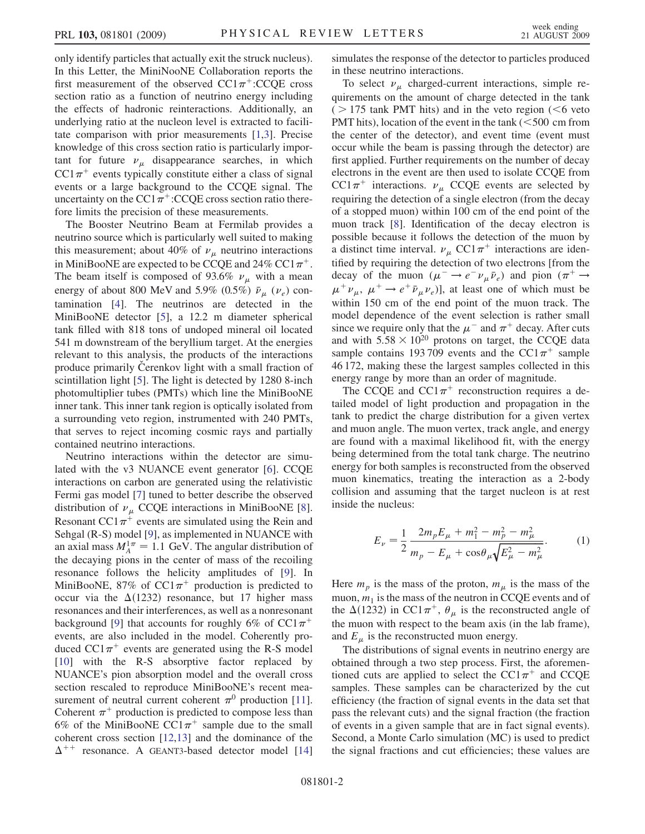only identify particles that actually exit the struck nucleus). In this Letter, the MiniNooNE Collaboration reports the first measurement of the observed  $CC1\pi^{+}$ :CCQE cross section ratio as a function of neutrino energy including the effects of hadronic reinteractions. Additionally, an underlying ratio at the nucleon level is extracted to facilitate comparison with prior measurements [[1,](#page-7-3)[3\]](#page-7-4). Precise knowledge of this cross section ratio is particularly important for future  $\nu_{\mu}$  disappearance searches, in which  $CC1\pi^+$  events typically constitute either a class of signal events or a large background to the CCQE signal. The uncertainty on the CC1 $\pi^+$ :CCQE cross section ratio therefore limits the precision of these measurements.

The Booster Neutrino Beam at Fermilab provides a neutrino source which is particularly well suited to making this measurement; about 40% of  $\nu_{\mu}$  neutrino interactions in MiniBooNE are expected to be CCQE and 24% CC1 $\pi^+$ . The beam itself is composed of 93.6%  $\nu_{\mu}$  with a mean energy of about 800 MeV and 5.9% (0.5%)  $\bar{\nu}_{\mu}$  ( $\nu_e$ ) contamination [\[4](#page-7-5)]. The neutrinos are detected in the MiniBooNE detector [\[5](#page-7-6)], a 12.2 m diameter spherical tank filled with 818 tons of undoped mineral oil located 541 m downstream of the beryllium target. At the energies relevant to this analysis, the products of the interactions produce primarily Cerenkov light with a small fraction of scintillation light [\[5](#page-7-6)]. The light is detected by 1280 8-inch photomultiplier tubes (PMTs) which line the MiniBooNE inner tank. This inner tank region is optically isolated from a surrounding veto region, instrumented with 240 PMTs, that serves to reject incoming cosmic rays and partially contained neutrino interactions.

Neutrino interactions within the detector are simulated with the v3 NUANCE event generator [\[6\]](#page-7-7). CCQE interactions on carbon are generated using the relativistic Fermi gas model [[7\]](#page-7-8) tuned to better describe the observed distribution of  $\nu_{\mu}$  CCQE interactions in MiniBooNE [[8\]](#page-7-9). Resonant CC1 $\pi^+$  events are simulated using the Rein and Sehgal (R-S) model [\[9\]](#page-7-10), as implemented in NUANCE with an axial mass  $M_A^{1\pi} = 1.1$  GeV. The angular distribution of the decaying pions in the center of mass of the recoiling resonance follows the helicity amplitudes of [[9](#page-7-10)]. In MiniBooNE, 87% of  $CC1\pi^+$  production is predicted to occur via the  $\Delta(1232)$  resonance, but 17 higher mass resonances and their interferences, as well as a nonresonant background [[9\]](#page-7-10) that accounts for roughly 6% of  $CC1\pi^+$ events, are also included in the model. Coherently produced  $CC1\pi^+$  events are generated using the R-S model [\[10\]](#page-7-11) with the R-S absorptive factor replaced by NUANCE's pion absorption model and the overall cross section rescaled to reproduce MiniBooNE's recent measurement of neutral current coherent  $\pi^0$  production [\[11\]](#page-7-12). Coherent  $\pi^+$  production is predicted to compose less than 6% of the MiniBooNE CC1 $\pi$ <sup>+</sup> sample due to the small coherent cross section [[12](#page-7-13),[13](#page-7-14)] and the dominance of the  $\Delta^{++}$  resonance. A GEANT3-based detector model [\[14\]](#page-7-15) simulates the response of the detector to particles produced in these neutrino interactions.

To select  $\nu_{\mu}$  charged-current interactions, simple requirements on the amount of charge detected in the tank  $($  > 175 tank PMT hits) and in the veto region  $($  <6 veto PMT hits), location of the event in the tank  $(< 500$  cm from the center of the detector), and event time (event must occur while the beam is passing through the detector) are first applied. Further requirements on the number of decay electrons in the event are then used to isolate CCQE from CC1 $\pi^+$  interactions.  $\nu_\mu$  CCQE events are selected by requiring the detection of a single electron (from the decay of a stopped muon) within 100 cm of the end point of the muon track [[8](#page-7-9)]. Identification of the decay electron is possible because it follows the detection of the muon by a distinct time interval.  $\nu_{\mu}$  CC1 $\pi^{+}$  interactions are identified by requiring the detection of two electrons [from the decay of the muon  $(\mu^- \rightarrow e^- \nu_\mu \bar{\nu}_e)$  and pion  $(\pi^+ \rightarrow$  $\mu^+ \nu_\mu$ ,  $\mu^+ \rightarrow e^+ \bar{\nu}_\mu \nu_e$ ], at least one of which must be within 150 cm of the end point of the muon track. The model dependence of the event selection is rather small since we require only that the  $\mu^-$  and  $\pi^+$  decay. After cuts and with  $5.58 \times 10^{20}$  protons on target, the CCQE data sample contains 193709 events and the CC1 $\pi$ <sup>+</sup> sample 46 172, making these the largest samples collected in this energy range by more than an order of magnitude.

The CCQE and  $CC1\pi^+$  reconstruction requires a detailed model of light production and propagation in the tank to predict the charge distribution for a given vertex and muon angle. The muon vertex, track angle, and energy are found with a maximal likelihood fit, with the energy being determined from the total tank charge. The neutrino energy for both samples is reconstructed from the observed muon kinematics, treating the interaction as a 2-body collision and assuming that the target nucleon is at rest inside the nucleus:

$$
E_{\nu} = \frac{1}{2} \frac{2m_{p}E_{\mu} + m_{1}^{2} - m_{p}^{2} - m_{\mu}^{2}}{m_{p} - E_{\mu} + \cos \theta_{\mu} \sqrt{E_{\mu}^{2} - m_{\mu}^{2}}}.
$$
 (1)

Here  $m_p$  is the mass of the proton,  $m_\mu$  is the mass of the muon,  $m_1$  is the mass of the neutron in CCQE events and of the  $\Delta(1232)$  in CC1 $\pi^+$ ,  $\theta_\mu$  is the reconstructed angle of the muon with respect to the beam axis (in the lab frame), and  $E_{\mu}$  is the reconstructed muon energy.

The distributions of signal events in neutrino energy are obtained through a two step process. First, the aforementioned cuts are applied to select the CC1 $\pi$ <sup>+</sup> and CCOE samples. These samples can be characterized by the cut efficiency (the fraction of signal events in the data set that pass the relevant cuts) and the signal fraction (the fraction of events in a given sample that are in fact signal events). Second, a Monte Carlo simulation (MC) is used to predict the signal fractions and cut efficiencies; these values are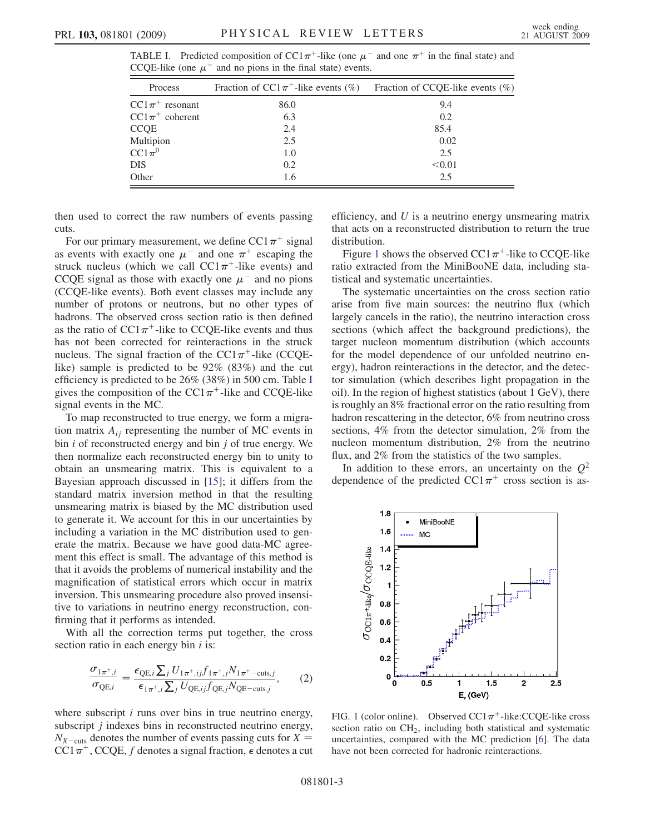<span id="page-5-0"></span>

|  | CCQE-like (one $\mu^-$ and no pions in the final state) events.                                         |  |  |  |  |
|--|---------------------------------------------------------------------------------------------------------|--|--|--|--|
|  | TABLE I. Predicted composition of $CC1\pi^+$ -like (one $\mu^-$ and one $\pi^+$ in the final state) and |  |  |  |  |

| Process             | Fraction of CC1 $\pi$ <sup>+</sup> -like events (%) | Fraction of CCQE-like events $(\%)$ |
|---------------------|-----------------------------------------------------|-------------------------------------|
| $CC1\pi^+$ resonant | 86.0                                                | 9.4                                 |
| $CC1\pi^+$ coherent | 6.3                                                 | 0.2                                 |
| CCOE                | 2.4                                                 | 85.4                                |
| Multipion           | 2.5                                                 | 0.02                                |
| $CC1\pi^0$          | 1.0                                                 | 2.5                                 |
| DIS                 | 0.2                                                 | < 0.01                              |
| Other               | 1.6                                                 | 2.5                                 |

then used to correct the raw numbers of events passing cuts.

For our primary measurement, we define  $CC1\pi^+$  signal as events with exactly one  $\mu^-$  and one  $\pi^+$  escaping the struck nucleus (which we call  $CC1\pi^+$ -like events) and CCQE signal as those with exactly one  $\mu^-$  and no pions (CCQE-like events). Both event classes may include any number of protons or neutrons, but no other types of hadrons. The observed cross section ratio is then defined as the ratio of  $CC1\pi^+$ -like to CCQE-like events and thus has not been corrected for reinteractions in the struck nucleus. The signal fraction of the  $CC1\pi^+$ -like (CCQElike) sample is predicted to be 92% (83%) and the cut efficiency is predicted to be 26% (38%) in 500 cm. Table [I](#page-5-0) gives the composition of the CC1 $\pi$ <sup>+</sup>-like and CCQE-like signal events in the MC.

To map reconstructed to true energy, we form a migration matrix  $A_{ij}$  representing the number of MC events in bin  $i$  of reconstructed energy and bin  $j$  of true energy. We then normalize each reconstructed energy bin to unity to obtain an unsmearing matrix. This is equivalent to a Bayesian approach discussed in [\[15\]](#page-7-16); it differs from the standard matrix inversion method in that the resulting unsmearing matrix is biased by the MC distribution used to generate it. We account for this in our uncertainties by including a variation in the MC distribution used to generate the matrix. Because we have good data-MC agreement this effect is small. The advantage of this method is that it avoids the problems of numerical instability and the magnification of statistical errors which occur in matrix inversion. This unsmearing procedure also proved insensitive to variations in neutrino energy reconstruction, confirming that it performs as intended.

With all the correction terms put together, the cross section ratio in each energy bin  $i$  is:

$$
\frac{\sigma_{1\pi^+,i}}{\sigma_{\text{QE},i}} = \frac{\epsilon_{\text{QE},i} \sum_j U_{1\pi^+,ij} f_{1\pi^+,j} N_{1\pi^+-\text{cuts},j}}{\epsilon_{1\pi^+,i} \sum_j U_{\text{QE},ij} f_{\text{QE},j} N_{\text{QE-cuts},j}},\tag{2}
$$

where subscript  $i$  runs over bins in true neutrino energy, subscript *i* indexes bins in reconstructed neutrino energy,  $N_{X-cuts}$  denotes the number of events passing cuts for  $X =$  $CC1\pi^+$ , CCQE, f denotes a signal fraction,  $\epsilon$  denotes a cut efficiency, and  $U$  is a neutrino energy unsmearing matrix that acts on a reconstructed distribution to return the true distribution.

Figure [1](#page-5-1) shows the observed  $CC1\pi^+$ -like to CCQE-like ratio extracted from the MiniBooNE data, including statistical and systematic uncertainties.

The systematic uncertainties on the cross section ratio arise from five main sources: the neutrino flux (which largely cancels in the ratio), the neutrino interaction cross sections (which affect the background predictions), the target nucleon momentum distribution (which accounts for the model dependence of our unfolded neutrino energy), hadron reinteractions in the detector, and the detector simulation (which describes light propagation in the oil). In the region of highest statistics (about 1 GeV), there is roughly an 8% fractional error on the ratio resulting from hadron rescattering in the detector, 6% from neutrino cross sections, 4% from the detector simulation, 2% from the nucleon momentum distribution, 2% from the neutrino flux, and 2% from the statistics of the two samples.

In addition to these errors, an uncertainty on the  $Q^2$ dependence of the predicted  $CC1\pi^+$  cross section is as-

<span id="page-5-1"></span>

FIG. 1 (color online). Observed  $CC1\pi^+$ -like:CCQE-like cross section ratio on  $CH<sub>2</sub>$ , including both statistical and systematic uncertainties, compared with the MC prediction [\[6](#page-7-7)]. The data have not been corrected for hadronic reinteractions.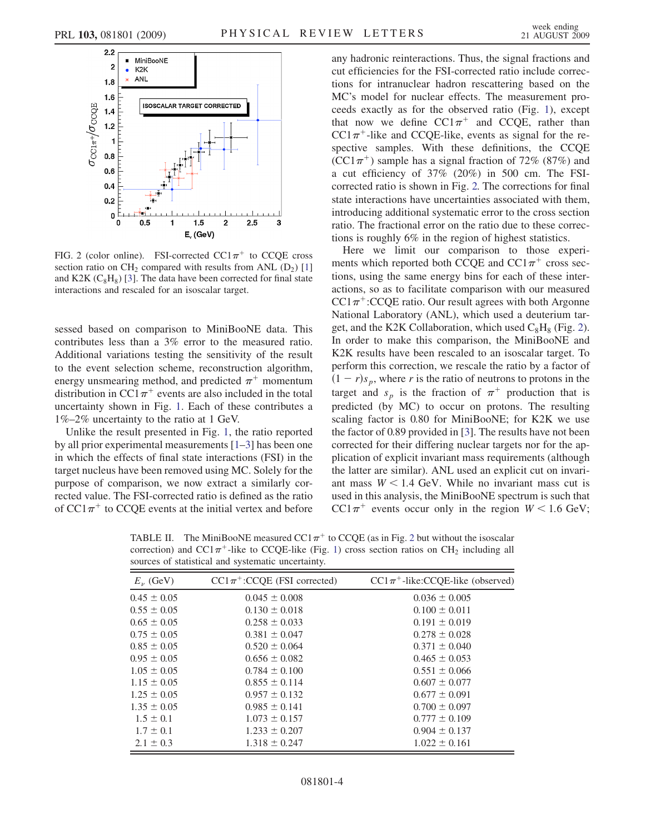<span id="page-6-0"></span>

FIG. 2 (color online). FSI-corrected  $CC1\pi^+$  to CCQE cross section ratio on CH<sub>2</sub> compared with results from ANL  $(D_2)$  [\[1\]](#page-7-3) and K2K  $(C_8H_8)$  [\[3\]](#page-7-4). The data have been corrected for final state interactions and rescaled for an isoscalar target.

sessed based on comparison to MiniBooNE data. This contributes less than a 3% error to the measured ratio. Additional variations testing the sensitivity of the result to the event selection scheme, reconstruction algorithm, energy unsmearing method, and predicted  $\pi^+$  momentum distribution in CC1 $\pi$ <sup>+</sup> events are also included in the total uncertainty shown in Fig. [1](#page-5-1). Each of these contributes a 1%–2% uncertainty to the ratio at 1 GeV.

Unlike the result presented in Fig. [1](#page-5-1), the ratio reported by all prior experimental measurements [\[1–](#page-7-3)[3](#page-7-4)] has been one in which the effects of final state interactions (FSI) in the target nucleus have been removed using MC. Solely for the purpose of comparison, we now extract a similarly corrected value. The FSI-corrected ratio is defined as the ratio of  $CC1\pi^+$  to CCQE events at the initial vertex and before any hadronic reinteractions. Thus, the signal fractions and cut efficiencies for the FSI-corrected ratio include corrections for intranuclear hadron rescattering based on the MC's model for nuclear effects. The measurement proceeds exactly as for the observed ratio (Fig. [1\)](#page-5-1), except that now we define  $CC1\pi^+$  and CCQE, rather than  $CC1\pi^+$ -like and CCQE-like, events as signal for the respective samples. With these definitions, the CCQE  $(CCl\pi^+)$  sample has a signal fraction of 72% (87%) and a cut efficiency of 37% (20%) in 500 cm. The FSIcorrected ratio is shown in Fig. [2.](#page-6-0) The corrections for final state interactions have uncertainties associated with them, introducing additional systematic error to the cross section ratio. The fractional error on the ratio due to these corrections is roughly 6% in the region of highest statistics.

Here we limit our comparison to those experiments which reported both CCQE and  $CC1\pi^+$  cross sections, using the same energy bins for each of these interactions, so as to facilitate comparison with our measured  $CC1\pi^{+}$ :CCQE ratio. Our result agrees with both Argonne National Laboratory (ANL), which used a deuterium target, and the K2K Collaboration, which used  $C_8H_8$  (Fig. [2\)](#page-6-0). In order to make this comparison, the MiniBooNE and K2K results have been rescaled to an isoscalar target. To perform this correction, we rescale the ratio by a factor of  $(1 - r)s_p$ , where r is the ratio of neutrons to protons in the target and  $s_p$  is the fraction of  $\pi^+$  production that is predicted (by MC) to occur on protons. The resulting scaling factor is 0.80 for MiniBooNE; for K2K we use the factor of 0.89 provided in [\[3](#page-7-4)]. The results have not been corrected for their differing nuclear targets nor for the application of explicit invariant mass requirements (although the latter are similar). ANL used an explicit cut on invariant mass  $W < 1.4$  GeV. While no invariant mass cut is used in this analysis, the MiniBooNE spectrum is such that  $CC1\pi^{+}$  events occur only in the region  $W < 1.6$  GeV;

<span id="page-6-1"></span>TABLE II. The MiniBooNE measured  $CC1\pi^{+}$  to CCQE (as in Fig. [2](#page-6-0) but without the isoscalar correction) and CC1 $\pi$ <sup>+</sup>-like to CCQE-like (Fig. [1\)](#page-5-1) cross section ratios on CH<sub>2</sub> including all sources of statistical and systematic uncertainty.

| $E_{\nu}$ (GeV) | $CC1\pi^{+}$ :CCQE (FSI corrected) | $CC1\pi^+$ -like:CCQE-like (observed) |
|-----------------|------------------------------------|---------------------------------------|
| $0.45 \pm 0.05$ | $0.045 \pm 0.008$                  | $0.036 \pm 0.005$                     |
| $0.55 \pm 0.05$ | $0.130 \pm 0.018$                  | $0.100 \pm 0.011$                     |
| $0.65 \pm 0.05$ | $0.258 \pm 0.033$                  | $0.191 \pm 0.019$                     |
| $0.75 \pm 0.05$ | $0.381 \pm 0.047$                  | $0.278 \pm 0.028$                     |
| $0.85 \pm 0.05$ | $0.520 \pm 0.064$                  | $0.371 \pm 0.040$                     |
| $0.95 \pm 0.05$ | $0.656 \pm 0.082$                  | $0.465 \pm 0.053$                     |
| $1.05 \pm 0.05$ | $0.784 \pm 0.100$                  | $0.551 \pm 0.066$                     |
| $1.15 \pm 0.05$ | $0.855 \pm 0.114$                  | $0.607 \pm 0.077$                     |
| $1.25 \pm 0.05$ | $0.957 \pm 0.132$                  | $0.677 \pm 0.091$                     |
| $1.35 \pm 0.05$ | $0.985 \pm 0.141$                  | $0.700 \pm 0.097$                     |
| $1.5 \pm 0.1$   | $1.073 \pm 0.157$                  | $0.777 \pm 0.109$                     |
| $1.7 \pm 0.1$   | $1.233 \pm 0.207$                  | $0.904 \pm 0.137$                     |
| $2.1 \pm 0.3$   | $1.318 \pm 0.247$                  | $1.022 \pm 0.161$                     |